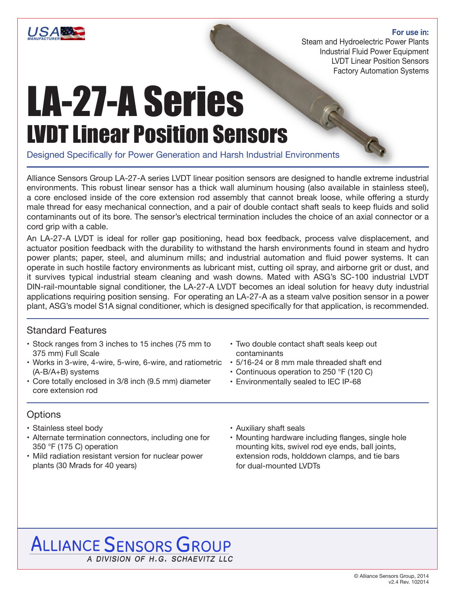

#### **For use in:**

Steam and Hydroelectric Power Plants Industrial Fluid Power Equipment LVDT Linear Position Sensors Factory Automation Systems

# LA-27-A Series LVDT Linear Position Sensors

Designed Specifically for Power Generation and Harsh Industrial Environments

Alliance Sensors Group LA-27-A series LVDT linear position sensors are designed to handle extreme industrial environments. This robust linear sensor has a thick wall aluminum housing (also available in stainless steel), a core enclosed inside of the core extension rod assembly that cannot break loose, while offering a sturdy male thread for easy mechanical connection, and a pair of double contact shaft seals to keep fluids and solid contaminants out of its bore. The sensor's electrical termination includes the choice of an axial connector or a cord grip with a cable.

An LA-27-A LVDT is ideal for roller gap positioning, head box feedback, process valve displacement, and actuator position feedback with the durability to withstand the harsh environments found in steam and hydro power plants; paper, steel, and aluminum mills; and industrial automation and fluid power systems. It can operate in such hostile factory environments as lubricant mist, cutting oil spray, and airborne grit or dust, and it survives typical industrial steam cleaning and wash downs. Mated with ASG's SC-100 industrial LVDT DIN-rail-mountable signal conditioner, the LA-27-A LVDT becomes an ideal solution for heavy duty industrial applications requiring position sensing. For operating an LA-27-A as a steam valve position sensor in a power plant, ASG's model S1A signal conditioner, which is designed specifically for that application, is recommended.

### Standard Features

- Stock ranges from 3 inches to 15 inches (75 mm to 375 mm) Full Scale
- Works in 3-wire, 4-wire, 5-wire, 6-wire, and ratiometric (A-B/A+B) systems
- Core totally enclosed in 3/8 inch (9.5 mm) diameter core extension rod

# **Options**

- Stainless steel body
- Alternate termination connectors, including one for 350 °F (175 C) operation
- Mild radiation resistant version for nuclear power plants (30 Mrads for 40 years)
- Two double contact shaft seals keep out contaminants
- 5/16-24 or 8 mm male threaded shaft end
- Continuous operation to 250 °F (120 C)
- Environmentally sealed to IEC IP-68
- Auxiliary shaft seals
- Mounting hardware including flanges, single hole mounting kits, swivel rod eye ends, ball joints, extension rods, holddown clamps, and tie bars for dual-mounted LVDTs

# **ALLIANCE SENSORS GROUP** A DIVISION OF H.G. SCHAEVITZ LLC